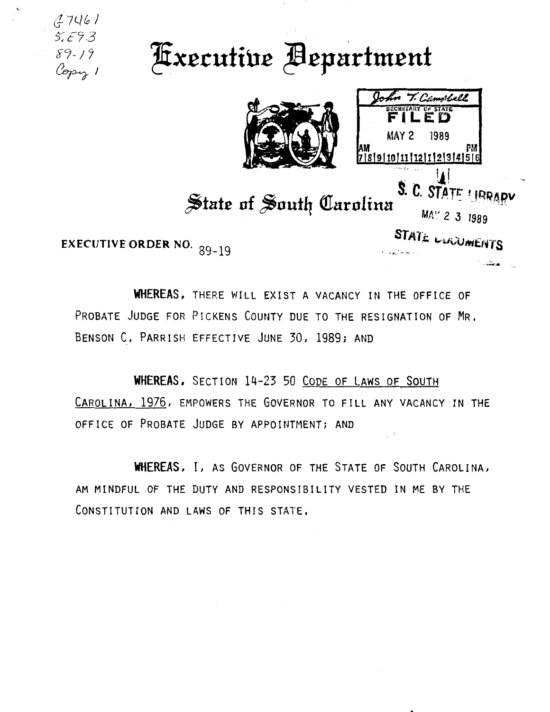$(2746)$  $5.593$ *gc;;\_; 7*   $\ell_{\rm op}$ 

**Executive Bepartment** 



Camorhell SECRETARY OF STATE **FILED**  1989 AM<br>7|8|9|10|11|12|1|2|3|4|5|6<br>7|5|4|2|11|11|12|

STATE LUCUMENTS

S. C. STATE UBRARY State of South Carolina MAY 2 3 1989

EXECUTIVE **ORDER** NO. <sup>89</sup> \_ 19

**WHEREAS,** THERE WILL EXIST A VACANCY IN THE OFFICE OF PROBATE JUDGE FOR PICKENS COUNTY DUE TO THE RESIGNATION OF MR. BENSON C. PARRISH EFFECTIVE JUNE 30, 1989; AND

**WHEREAS,** SECTION 14-23 50 CoDE OF LAWS OF SOUTH CAROLINA, 1976, EMPOWERS THE GOVERNOR TO FILL ANY VACANCY IN THE OFFICE OF PROBATE JUDGE BY APPOINTMENT; AND

**WHEREAS,** l, AS GOVERNOR OF THE STATE OF SOUTH CAROLINA, AM MINDFUL OF THE DUTY AND RESPONSIBILITY VESTED IN ME BY THE CONSTITUTION AND LAWS OF THIS STATE.